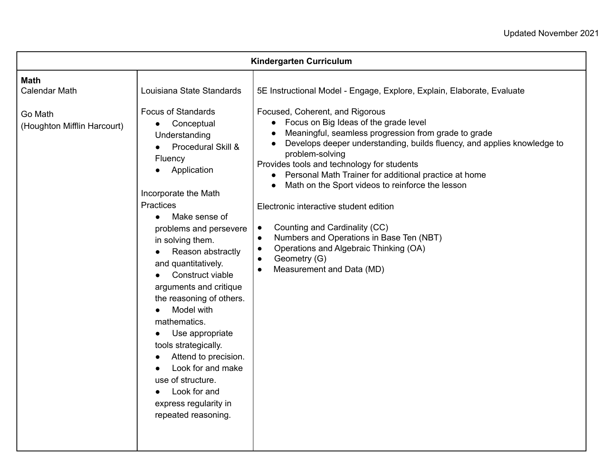| Kindergarten Curriculum                                                       |                                                                                                                                                                                                                                                                                                                                                                                                                                                                                                                                                                                                             |                                                                                                                                                                                                                                                                                                                                                                                                                                                                                                                                                                                                                                                                                                                                                      |  |  |
|-------------------------------------------------------------------------------|-------------------------------------------------------------------------------------------------------------------------------------------------------------------------------------------------------------------------------------------------------------------------------------------------------------------------------------------------------------------------------------------------------------------------------------------------------------------------------------------------------------------------------------------------------------------------------------------------------------|------------------------------------------------------------------------------------------------------------------------------------------------------------------------------------------------------------------------------------------------------------------------------------------------------------------------------------------------------------------------------------------------------------------------------------------------------------------------------------------------------------------------------------------------------------------------------------------------------------------------------------------------------------------------------------------------------------------------------------------------------|--|--|
| <b>Math</b><br><b>Calendar Math</b><br>Go Math<br>(Houghton Mifflin Harcourt) | Louisiana State Standards<br><b>Focus of Standards</b><br>Conceptual<br>$\bullet$<br>Understanding<br>Procedural Skill &<br>Fluency<br>Application<br>Incorporate the Math<br><b>Practices</b><br>Make sense of<br>$\bullet$<br>problems and persevere<br>in solving them.<br>Reason abstractly<br>and quantitatively.<br>Construct viable<br>arguments and critique<br>the reasoning of others.<br>Model with<br>mathematics.<br>Use appropriate<br>tools strategically.<br>Attend to precision.<br>Look for and make<br>use of structure.<br>Look for and<br>express regularity in<br>repeated reasoning. | 5E Instructional Model - Engage, Explore, Explain, Elaborate, Evaluate<br>Focused, Coherent, and Rigorous<br>• Focus on Big Ideas of the grade level<br>Meaningful, seamless progression from grade to grade<br>Develops deeper understanding, builds fluency, and applies knowledge to<br>problem-solving<br>Provides tools and technology for students<br>Personal Math Trainer for additional practice at home<br>$\bullet$<br>Math on the Sport videos to reinforce the lesson<br>Electronic interactive student edition<br>Counting and Cardinality (CC)<br>$\bullet$<br>Numbers and Operations in Base Ten (NBT)<br>$\bullet$<br>Operations and Algebraic Thinking (OA)<br>$\bullet$<br>Geometry (G)<br>$\bullet$<br>Measurement and Data (MD) |  |  |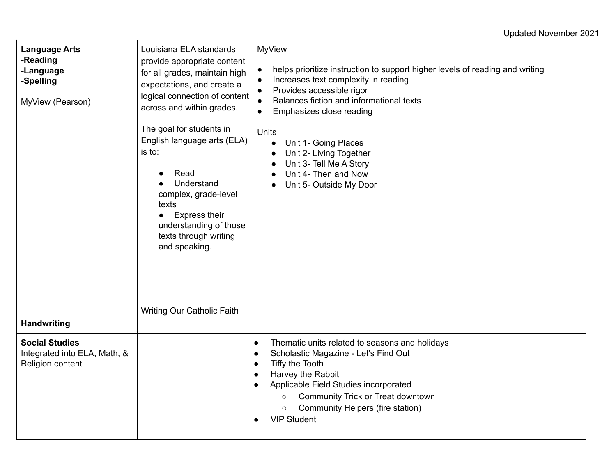## Updated November 2021

| <b>Language Arts</b><br>-Reading<br>-Language<br>-Spelling<br>MyView (Pearson) | Louisiana ELA standards<br>provide appropriate content<br>for all grades, maintain high<br>expectations, and create a<br>logical connection of content<br>across and within grades.<br>The goal for students in<br>English language arts (ELA)<br>is to:<br>Read<br>Understand<br>complex, grade-level<br>texts<br>Express their<br>$\bullet$<br>understanding of those<br>texts through writing<br>and speaking.<br><b>Writing Our Catholic Faith</b> | <b>MyView</b><br>helps prioritize instruction to support higher levels of reading and writing<br>$\bullet$<br>Increases text complexity in reading<br>$\bullet$<br>Provides accessible rigor<br>$\bullet$<br>Balances fiction and informational texts<br>$\bullet$<br>Emphasizes close reading<br>$\bullet$<br><b>Units</b><br>Unit 1- Going Places<br>$\bullet$<br>Unit 2- Living Together<br>$\bullet$<br>Unit 3- Tell Me A Story<br>$\bullet$<br>Unit 4- Then and Now<br>$\bullet$<br>Unit 5- Outside My Door<br>$\bullet$ |
|--------------------------------------------------------------------------------|--------------------------------------------------------------------------------------------------------------------------------------------------------------------------------------------------------------------------------------------------------------------------------------------------------------------------------------------------------------------------------------------------------------------------------------------------------|-------------------------------------------------------------------------------------------------------------------------------------------------------------------------------------------------------------------------------------------------------------------------------------------------------------------------------------------------------------------------------------------------------------------------------------------------------------------------------------------------------------------------------|
| <b>Handwriting</b>                                                             |                                                                                                                                                                                                                                                                                                                                                                                                                                                        |                                                                                                                                                                                                                                                                                                                                                                                                                                                                                                                               |
| <b>Social Studies</b><br>Integrated into ELA, Math, &<br>Religion content      |                                                                                                                                                                                                                                                                                                                                                                                                                                                        | Thematic units related to seasons and holidays<br>lo<br>Scholastic Magazine - Let's Find Out<br>lo<br>Tiffy the Tooth<br>lo<br>Harvey the Rabbit<br>lo<br>Applicable Field Studies incorporated<br>Community Trick or Treat downtown<br>$\circ$<br>Community Helpers (fire station)<br>$\circ$<br><b>VIP Student</b>                                                                                                                                                                                                          |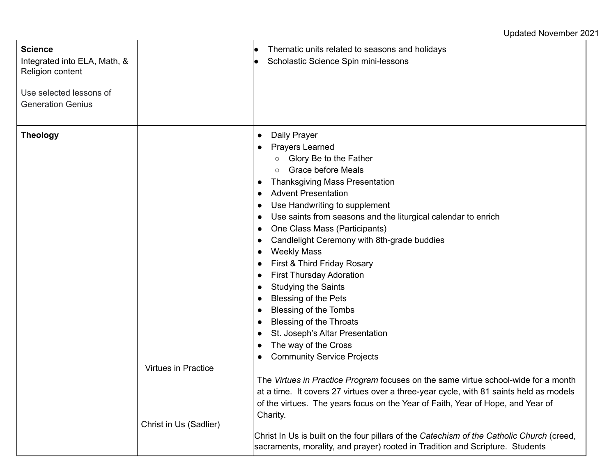## Updated November 2021

| <b>Science</b><br>Integrated into ELA, Math, &<br>Religion content<br>Use selected lessons of<br><b>Generation Genius</b> |                            | Thematic units related to seasons and holidays<br>Scholastic Science Spin mini-lessons                                                                                                                                                                                                                                                                                                                                                                                                                                                                                                                                                                                                                                                                                                                                                                                                                                                                                                                                                                                                                                       |
|---------------------------------------------------------------------------------------------------------------------------|----------------------------|------------------------------------------------------------------------------------------------------------------------------------------------------------------------------------------------------------------------------------------------------------------------------------------------------------------------------------------------------------------------------------------------------------------------------------------------------------------------------------------------------------------------------------------------------------------------------------------------------------------------------------------------------------------------------------------------------------------------------------------------------------------------------------------------------------------------------------------------------------------------------------------------------------------------------------------------------------------------------------------------------------------------------------------------------------------------------------------------------------------------------|
| <b>Theology</b>                                                                                                           | <b>Virtues in Practice</b> | Daily Prayer<br>$\bullet$<br><b>Prayers Learned</b><br>$\bullet$<br>Glory Be to the Father<br>$\circ$<br><b>Grace before Meals</b><br><b>Thanksgiving Mass Presentation</b><br>$\bullet$<br><b>Advent Presentation</b><br>$\bullet$<br>Use Handwriting to supplement<br>Use saints from seasons and the liturgical calendar to enrich<br>$\bullet$<br>One Class Mass (Participants)<br>$\bullet$<br>Candlelight Ceremony with 8th-grade buddies<br>$\bullet$<br><b>Weekly Mass</b><br>First & Third Friday Rosary<br>$\bullet$<br><b>First Thursday Adoration</b><br>$\bullet$<br><b>Studying the Saints</b><br>$\bullet$<br><b>Blessing of the Pets</b><br>Blessing of the Tombs<br><b>Blessing of the Throats</b><br>$\bullet$<br>St. Joseph's Altar Presentation<br>$\bullet$<br>The way of the Cross<br><b>Community Service Projects</b><br>The Virtues in Practice Program focuses on the same virtue school-wide for a month<br>at a time. It covers 27 virtues over a three-year cycle, with 81 saints held as models<br>of the virtues. The years focus on the Year of Faith, Year of Hope, and Year of<br>Charity. |
|                                                                                                                           | Christ in Us (Sadlier)     | Christ In Us is built on the four pillars of the Catechism of the Catholic Church (creed,<br>sacraments, morality, and prayer) rooted in Tradition and Scripture. Students                                                                                                                                                                                                                                                                                                                                                                                                                                                                                                                                                                                                                                                                                                                                                                                                                                                                                                                                                   |